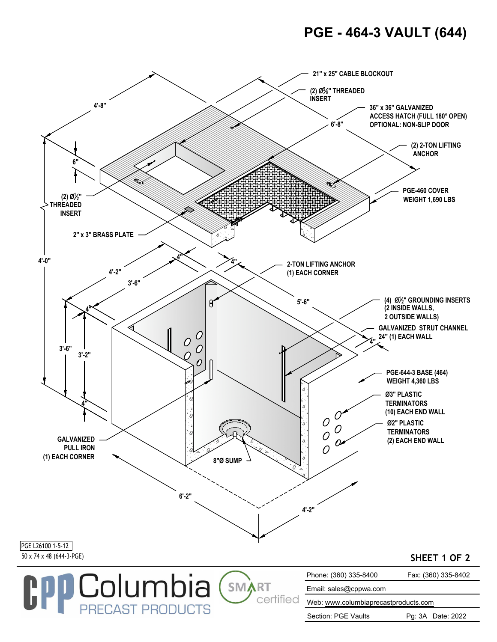## **PGE - 464-3 VAULT (644)**



Section: PGE Vaults Pg: 3A Date: 2022